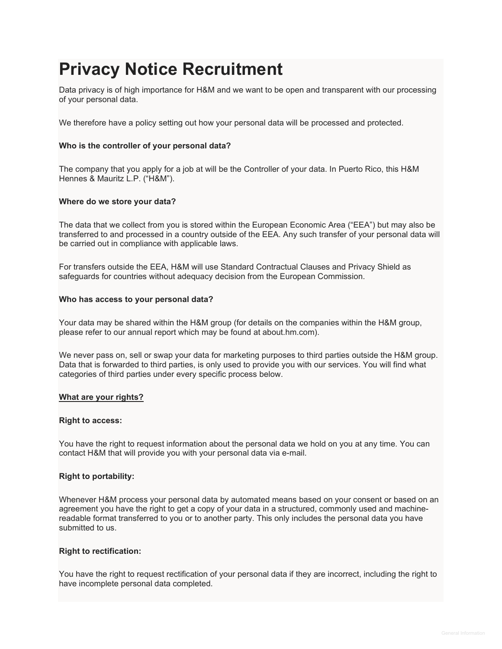# **Privacy Notice Recruitment**

Data privacy is of high importance for H&M and we want to be open and transparent with our processing of your personal data.

We therefore have a policy setting out how your personal data will be processed and protected.

#### **Who is the controller of your personal data?**

The company that you apply for a job at will be the Controller of your data. In Puerto Rico, this H&M Hennes & Mauritz L.P. ("H&M").

#### **Where do we store your data?**

The data that we collect from you is stored within the European Economic Area ("EEA") but may also be transferred to and processed in a country outside of the EEA. Any such transfer of your personal data will be carried out in compliance with applicable laws.

For transfers outside the EEA, H&M will use Standard Contractual Clauses and Privacy Shield as safeguards for countries without adequacy decision from the European Commission.

#### **Who has access to your personal data?**

Your data may be shared within the H&M group (for details on the companies within the H&M group, please refer to our annual report which may be found at about.hm.com).

We never pass on, sell or swap your data for marketing purposes to third parties outside the H&M group. Data that is forwarded to third parties, is only used to provide you with our services. You will find what categories of third parties under every specific process below.

#### **What are your rights?**

#### **Right to access:**

You have the right to request information about the personal data we hold on you at any time. You can contact H&M that will provide you with your personal data via e-mail.

#### **Right to portability:**

Whenever H&M process your personal data by automated means based on your consent or based on an agreement you have the right to get a copy of your data in a structured, commonly used and machinereadable format transferred to you or to another party. This only includes the personal data you have submitted to us.

#### **Right to rectification:**

You have the right to request rectification of your personal data if they are incorrect, including the right to have incomplete personal data completed.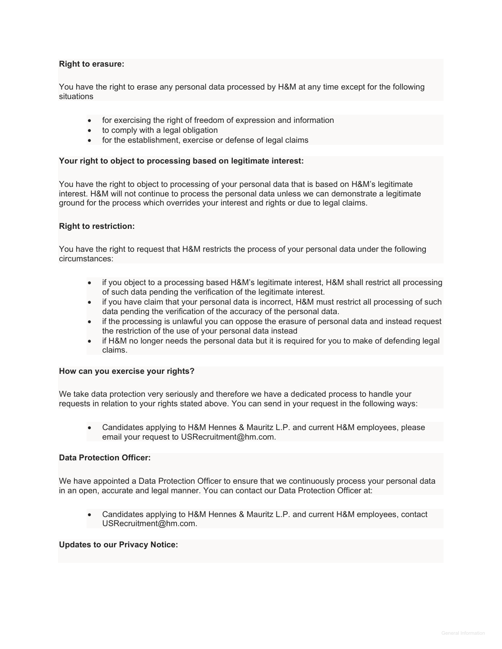#### **Right to erasure:**

You have the right to erase any personal data processed by H&M at any time except for the following situations

- for exercising the right of freedom of expression and information
- to comply with a legal obligation
- for the establishment, exercise or defense of legal claims

#### **Your right to object to processing based on legitimate interest:**

You have the right to object to processing of your personal data that is based on H&M's legitimate interest. H&M will not continue to process the personal data unless we can demonstrate a legitimate ground for the process which overrides your interest and rights or due to legal claims.

#### **Right to restriction:**

You have the right to request that H&M restricts the process of your personal data under the following circumstances:

- if you object to a processing based H&M's legitimate interest, H&M shall restrict all processing of such data pending the verification of the legitimate interest.
- if you have claim that your personal data is incorrect, H&M must restrict all processing of such data pending the verification of the accuracy of the personal data.
- if the processing is unlawful you can oppose the erasure of personal data and instead request the restriction of the use of your personal data instead
- if H&M no longer needs the personal data but it is required for you to make of defending legal claims.

#### **How can you exercise your rights?**

We take data protection very seriously and therefore we have a dedicated process to handle your requests in relation to your rights stated above. You can send in your request in the following ways:

• Candidates applying to H&M Hennes & Mauritz L.P. and current H&M employees, please email your request to USRecruitment@hm.com.

#### **Data Protection Officer:**

We have appointed a Data Protection Officer to ensure that we continuously process your personal data in an open, accurate and legal manner. You can contact our Data Protection Officer at:

• Candidates applying to H&M Hennes & Mauritz L.P. and current H&M employees, contact USRecruitment@hm.com.

#### **Updates to our Privacy Notice:**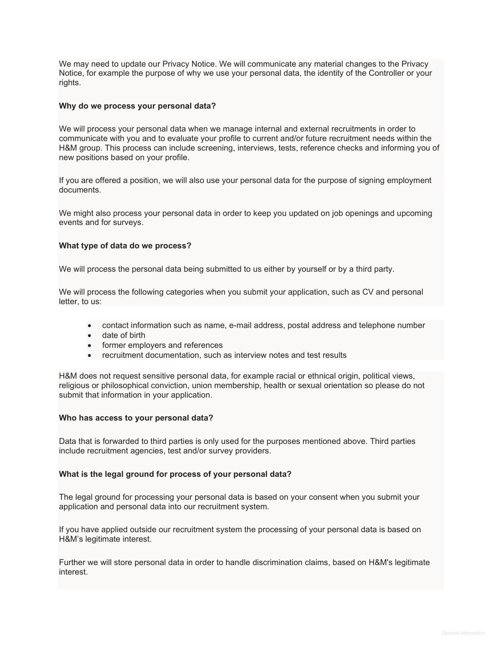We may need to update our Privacy Notice. We will communicate any material changes to the Privacy Notice, for example the purpose of why we use your personal data, the identity of the Controller or your rights.

#### **Why do we process your personal data?**

We will process your personal data when we manage internal and external recruitments in order to communicate with you and to evaluate your profile to current and/or future recruitment needs within the H&M group. This process can include screening, interviews, tests, reference checks and informing you of new positions based on your profile.

If you are offered a position, we will also use your personal data for the purpose of signing employment documents.

We might also process your personal data in order to keep you updated on job openings and upcoming events and for surveys.

#### **What type of data do we process?**

We will process the personal data being submitted to us either by yourself or by a third party.

We will process the following categories when you submit your application, such as CV and personal letter, to us:

- contact information such as name, e-mail address, postal address and telephone number
- date of birth
- former employers and references
- recruitment documentation, such as interview notes and test results

H&M does not request sensitive personal data, for example racial or ethnical origin, political views, religious or philosophical conviction, union membership, health or sexual orientation so please do not submit that information in your application.

#### **Who has access to your personal data?**

Data that is forwarded to third parties is only used for the purposes mentioned above. Third parties include recruitment agencies, test and/or survey providers.

#### **What is the legal ground for process of your personal data?**

The legal ground for processing your personal data is based on your consent when you submit your application and personal data into our recruitment system.

If you have applied outside our recruitment system the processing of your personal data is based on H&M's legitimate interest.

Further we will store personal data in order to handle discrimination claims, based on H&M's legitimate interest.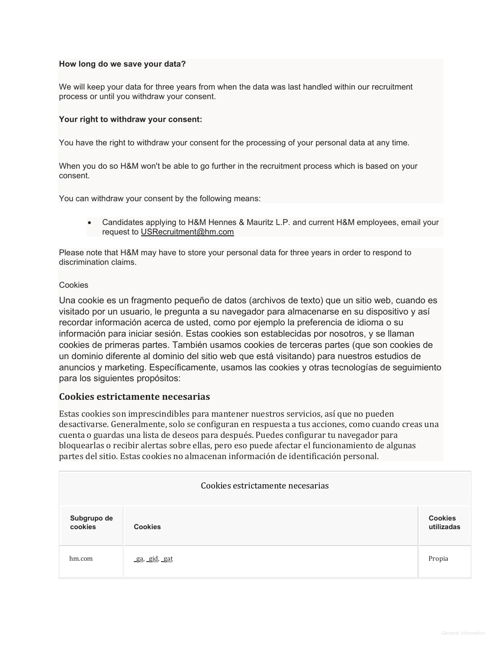### **How long do we save your data?**

We will keep your data for three years from when the data was last handled within our recruitment process or until you withdraw your consent.

#### **Your right to withdraw your consent:**

You have the right to withdraw your consent for the processing of your personal data at any time.

When you do so H&M won't be able to go further in the recruitment process which is based on your consent.

You can withdraw your consent by the following means:

• Candidates applying to H&M Hennes & Mauritz L.P. and current H&M employees, email your request to [USRecruitment@hm.com](mailto:USRecruitment@hm.com)

Please note that H&M may have to store your personal data for three years in order to respond to discrimination claims.

#### Cookies

Una cookie es un fragmento pequeño de datos (archivos de texto) que un sitio web, cuando es visitado por un usuario, le pregunta a su navegador para almacenarse en su dispositivo y así recordar información acerca de usted, como por ejemplo la preferencia de idioma o su información para iniciar sesión. Estas cookies son establecidas por nosotros, y se llaman cookies de primeras partes. También usamos cookies de terceras partes (que son cookies de un dominio diferente al dominio del sitio web que está visitando) para nuestros estudios de anuncios y marketing. Específicamente, usamos las cookies y otras tecnologías de seguimiento para los siguientes propósitos:

## **Cookies estrictamente necesarias**

Estas cookies son imprescindibles para mantener nuestros servicios, así que no pueden desactivarse. Generalmente, solo se configuran en respuesta a tus acciones, como cuando creas una cuenta o guardas una lista de deseos para después. Puedes configurar tu navegador para bloquearlas o recibir alertas sobre ellas, pero eso puede afectar el funcionamiento de algunas partes del sitio. Estas cookies no almacenan información de identificación personal.

| Cookies estrictamente necesarias |                |  |                              |  |  |
|----------------------------------|----------------|--|------------------------------|--|--|
| Subgrupo de<br>cookies           | <b>Cookies</b> |  | <b>Cookies</b><br>utilizadas |  |  |
| hm.com                           | ga, gid, gat   |  | Propia                       |  |  |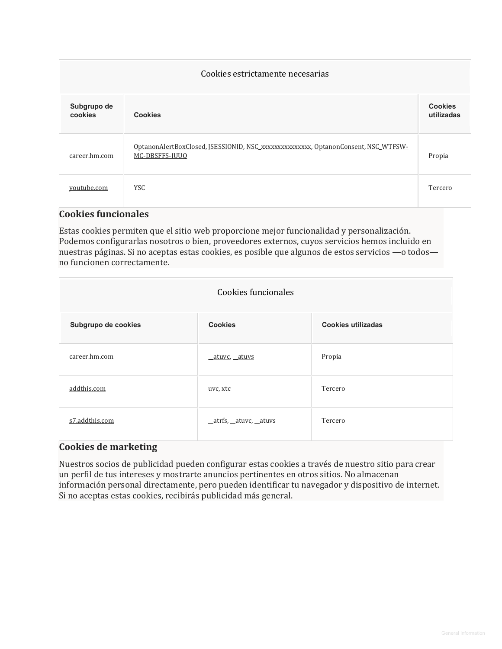| Cookies estrictamente necesarias |                                                                                                     |                              |  |  |
|----------------------------------|-----------------------------------------------------------------------------------------------------|------------------------------|--|--|
| Subgrupo de<br>cookies           | <b>Cookies</b>                                                                                      | <b>Cookies</b><br>utilizadas |  |  |
| career.hm.com                    | OptanonAlertBoxClosed, JSESSIONID, NSC xxxxxxxxxxxxxx, OptanonConsent, NSC WTFSW-<br>MC-DBSFFS-IUUQ | Propia                       |  |  |
| youtube.com                      | <b>YSC</b>                                                                                          | Tercero                      |  |  |

# **Cookies funcionales**

Estas cookies permiten que el sitio web proporcione mejor funcionalidad y personalización. Podemos configurarlas nosotros o bien, proveedores externos, cuyos servicios hemos incluido en nuestras páginas. Si no aceptas estas cookies, es posible que algunos de estos servicios —o todos no funcionen correctamente.

| Cookies funcionales |                        |                           |  |  |  |
|---------------------|------------------------|---------------------------|--|--|--|
| Subgrupo de cookies | <b>Cookies</b>         | <b>Cookies utilizadas</b> |  |  |  |
| career.hm.com       | atuvc, atuvs           | Propia                    |  |  |  |
| addthis.com         | uvc, xtc               | Tercero                   |  |  |  |
| s7.addthis.com      | _atrfs, _atuvc, _atuvs | Tercero                   |  |  |  |

# **Cookies de marketing**

Nuestros socios de publicidad pueden configurar estas cookies a través de nuestro sitio para crear un perfil de tus intereses y mostrarte anuncios pertinentes en otros sitios. No almacenan información personal directamente, pero pueden identificar tu navegador y dispositivo de internet. Si no aceptas estas cookies, recibirás publicidad más general.